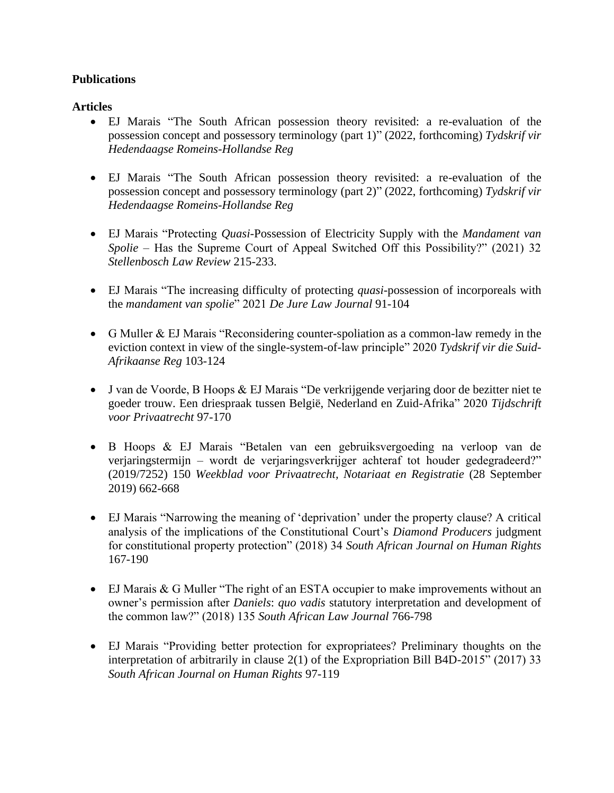## **Publications**

## **Articles**

- EJ Marais "The South African possession theory revisited: a re-evaluation of the possession concept and possessory terminology (part 1)" (2022, forthcoming) *Tydskrif vir Hedendaagse Romeins-Hollandse Reg*
- EJ Marais "The South African possession theory revisited: a re-evaluation of the possession concept and possessory terminology (part 2)" (2022, forthcoming) *Tydskrif vir Hedendaagse Romeins-Hollandse Reg*
- EJ Marais "Protecting *Quasi*-Possession of Electricity Supply with the *Mandament van Spolie* – Has the Supreme Court of Appeal Switched Off this Possibility?" (2021) 32 *Stellenbosch Law Review* 215-233.
- EJ Marais "The increasing difficulty of protecting *quasi*-possession of incorporeals with the *mandament van spolie*" 2021 *De Jure Law Journal* 91-104
- G Muller & EJ Marais "Reconsidering counter-spoliation as a common-law remedy in the eviction context in view of the single-system-of-law principle" 2020 *Tydskrif vir die Suid-Afrikaanse Reg* 103-124
- J van de Voorde, B Hoops & EJ Marais "De verkrijgende verjaring door de bezitter niet te goeder trouw. Een driespraak tussen België, Nederland en Zuid-Afrika" 2020 *Tijdschrift voor Privaatrecht* 97-170
- B Hoops & EJ Marais "Betalen van een gebruiksvergoeding na verloop van de verjaringstermijn – wordt de verjaringsverkrijger achteraf tot houder gedegradeerd?" (2019/7252) 150 *Weekblad voor Privaatrecht, Notariaat en Registratie* (28 September 2019) 662-668
- EJ Marais "Narrowing the meaning of 'deprivation' under the property clause? A critical analysis of the implications of the Constitutional Court's *Diamond Producers* judgment for constitutional property protection" (2018) 34 *South African Journal on Human Rights*  167-190
- EJ Marais & G Muller "The right of an ESTA occupier to make improvements without an owner's permission after *Daniels*: *quo vadis* statutory interpretation and development of the common law?" (2018) 135 *South African Law Journal* 766-798
- EJ Marais "Providing better protection for expropriatees? Preliminary thoughts on the interpretation of arbitrarily in clause 2(1) of the Expropriation Bill B4D-2015" (2017) 33 *South African Journal on Human Rights* 97-119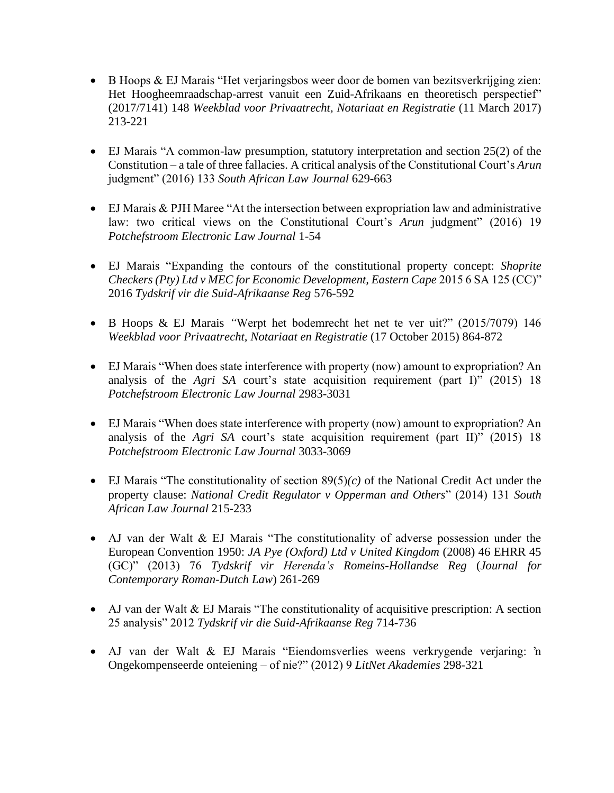- B Hoops & EJ Marais "Het verjaringsbos weer door de bomen van bezitsverkrijging zien: Het Hoogheemraadschap-arrest vanuit een Zuid-Afrikaans en theoretisch perspectief" (2017/7141) 148 *Weekblad voor Privaatrecht, Notariaat en Registratie* (11 March 2017) 213-221
- EJ Marais "A common-law presumption, statutory interpretation and section 25(2) of the Constitution – a tale of three fallacies. A critical analysis of the Constitutional Court's *Arun*  judgment" (2016) 133 *South African Law Journal* 629-663
- EJ Marais & PJH Maree "At the intersection between expropriation law and administrative law: two critical views on the Constitutional Court's *Arun* judgment" (2016) 19 *Potchefstroom Electronic Law Journal* 1-54
- EJ Marais "Expanding the contours of the constitutional property concept: *Shoprite Checkers (Pty) Ltd v MEC for Economic Development, Eastern Cape* 2015 6 SA 125 (CC)" 2016 *Tydskrif vir die Suid-Afrikaanse Reg* 576-592
- B Hoops & EJ Marais *"*Werpt het bodemrecht het net te ver uit?" (2015/7079) 146 *Weekblad voor Privaatrecht, Notariaat en Registratie* (17 October 2015) 864-872
- EJ Marais "When does state interference with property (now) amount to expropriation? An analysis of the *Agri SA* court's state acquisition requirement (part I)" (2015) 18 *Potchefstroom Electronic Law Journal* 2983-3031
- EJ Marais "When does state interference with property (now) amount to expropriation? An analysis of the *Agri SA* court's state acquisition requirement (part II)" (2015) 18 *Potchefstroom Electronic Law Journal* 3033-3069
- EJ Marais "The constitutionality of section 89(5)*(c)* of the National Credit Act under the property clause: *National Credit Regulator v Opperman and Others*" (2014) 131 *South African Law Journal* 215-233
- AJ van der Walt & EJ Marais "The constitutionality of adverse possession under the European Convention 1950: *JA Pye (Oxford) Ltd v United Kingdom* (2008) 46 EHRR 45 (GC)" (2013) 76 *Tydskrif vir Herenda's Romeins-Hollandse Reg* (*Journal for Contemporary Roman-Dutch Law*) 261-269
- AJ van der Walt & EJ Marais "The constitutionality of acquisitive prescription: A section 25 analysis" 2012 *Tydskrif vir die Suid-Afrikaanse Reg* 714-736
- AJ van der Walt & EJ Marais "Eiendomsverlies weens verkrygende verjaring: 'n Ongekompenseerde onteiening – of nie?" (2012) 9 *LitNet Akademies* 298-321